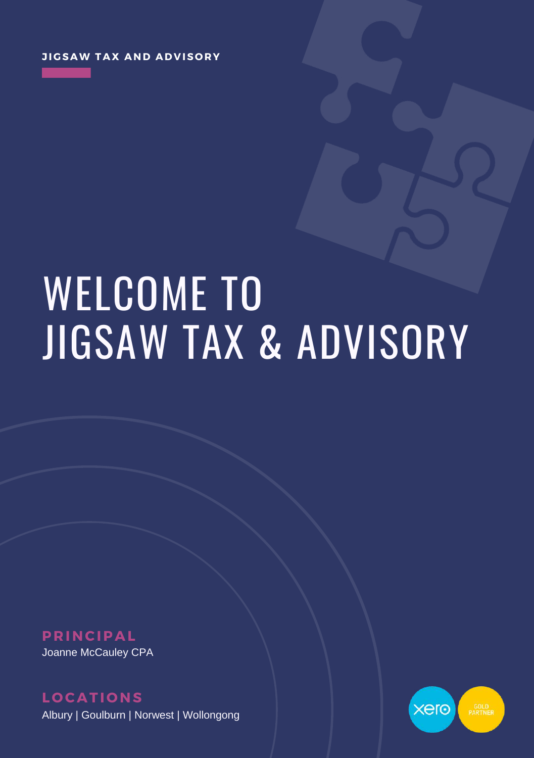# WELCOME TO JIGSAW TAX & ADVISORY

**P R INCIPAL** Joanne McCauley CPA

**L O CATI O NS** Albury | Goulburn | Norwest | Wollongong

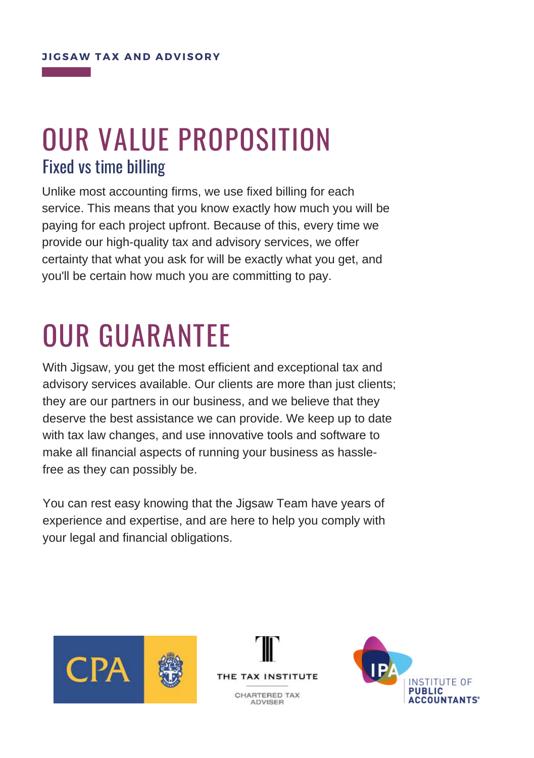### OUR VALUE PROPOSITION Fixed vs time billing

Unlike most accounting firms, we use fixed billing for each service. This means that you know exactly how much you will be paying for each project upfront. Because of this, every time we provide our high-quality tax and advisory services, we offer certainty that what you ask for will be exactly what you get, and you'll be certain how much you are committing to pay.

# OUR GUARANTEE

With Jigsaw, you get the most efficient and exceptional tax and advisory services available. Our clients are more than just clients; they are our partners in our business, and we believe that they deserve the best assistance we can provide. We keep up to date with tax law changes, and use innovative tools and software to make all financial aspects of running your business as hasslefree as they can possibly be.

You can rest easy knowing that the Jigsaw Team have years of experience and expertise, and are here to help you comply with your legal and financial obligations.





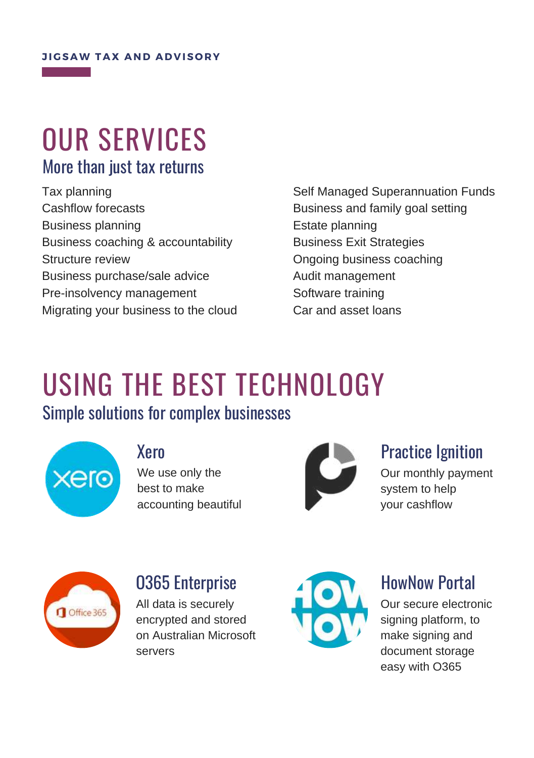### OUR SERVICES More than just tax returns

Tax planning Cashflow forecasts Business planning Business coaching & accountability Structure review Business purchase/sale advice Pre-insolvency management Migrating your business to the cloud Self Managed Superannuation Funds Business and family goal setting Estate planning Business Exit Strategies Ongoing business coaching Audit management Software training Car and asset loans

### USING THE BEST TECHNOLOGY Simple solutions for complex businesses



#### Xero

We use only the best to make accounting beautiful



#### Practice Ignition

Our monthly payment system to help your cashflow



#### O365 Enterprise

All data is securely encrypted and stored on Australian Microsoft servers



#### HowNow Portal

Our secure electronic signing platform, to make signing and document storage easy with O365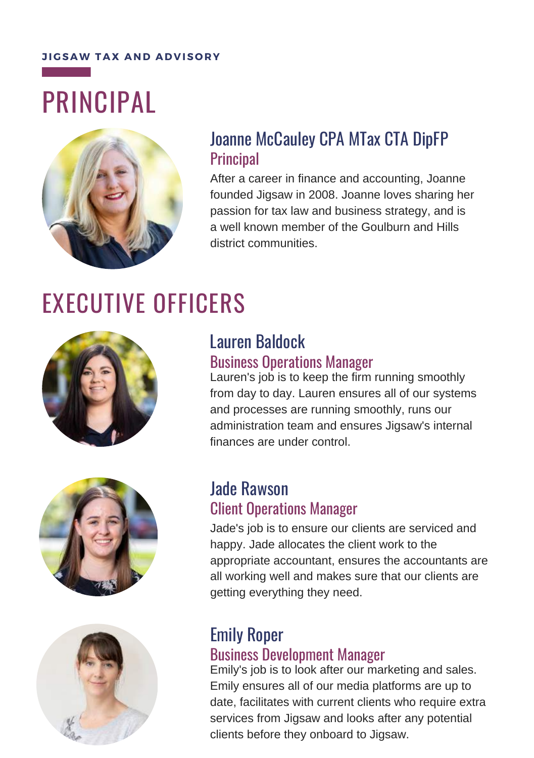# PRINCIPAL



#### Joanne McCauley CPA MTax CTA DipFP **Principal**

After a career in finance and accounting, Joanne founded Jigsaw in 2008. Joanne loves sharing her passion for tax law and business strategy, and is a well known member of the Goulburn and Hills district communities.

### EXECUTIVE OFFICERS







#### Lauren Baldock Business Operations Manager

Lauren's job is to keep the firm running smoothly from day to day. Lauren ensures all of our systems and processes are running smoothly, runs our administration team and ensures Jigsaw's internal finances are under control.

#### Jade Rawson Client Operations Manager

Jade's job is to ensure our clients are serviced and happy. Jade allocates the client work to the appropriate accountant, ensures the accountants are all working well and makes sure that our clients are getting everything they need.

#### Emily Roper Business Development Manager

Emily's job is to look after our marketing and sales. Emily ensures all of our media platforms are up to date, facilitates with current clients who require extra services from Jigsaw and looks after any potential clients before they onboard to Jigsaw.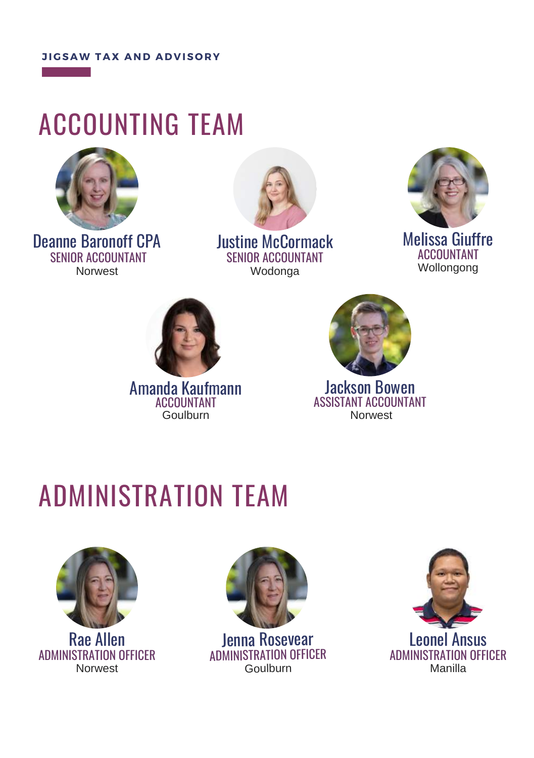### ACCOUNTING TEAM



Deanne Baronoff CPA SENIOR ACCOUNTANT Norwest



Justine McCormack SENIOR ACCOUNTANT Wodonga



Melissa Giuffre ACCOUNTANT Wollongong



Amanda Kaufmann ACCOUNTANT Goulburn



Jackson Bowen ASSISTANT ACCOUNTANT Norwest

## ADMINISTRATION TEAM





Jenna Rosevear ADMINISTRATION OFFICER Goulburn

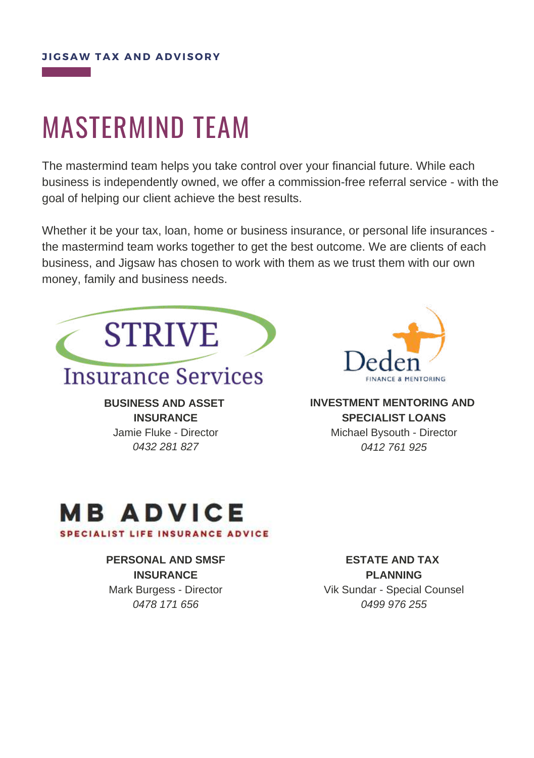### MASTERMIND TEAM

The mastermind team helps you take control over your financial future. While each business is independently owned, we offer a commission-free referral service - with the goal of helping our client achieve the best results.

Whether it be your tax, loan, home or business insurance, or personal life insurances the mastermind team works together to get the best outcome. We are clients of each business, and Jigsaw has chosen to work with them as we trust them with our own money, family and business needs.



**INSURANCE** Jamie Fluke - Director *0432 281 827*



**INVESTMENT MENTORING AND SPECIALIST LOANS** Michael Bysouth - Director *0412 761 925*

#### **MB ADVICE SPECIALIST LIFE INSURANCE ADVICE**

#### **PERSONAL AND SMSF INSURANCE**

Mark Burgess - Director *0478 171 656*

**ESTATE AND TAX PLANNING** Vik Sundar - Special Counsel *0499 976 255*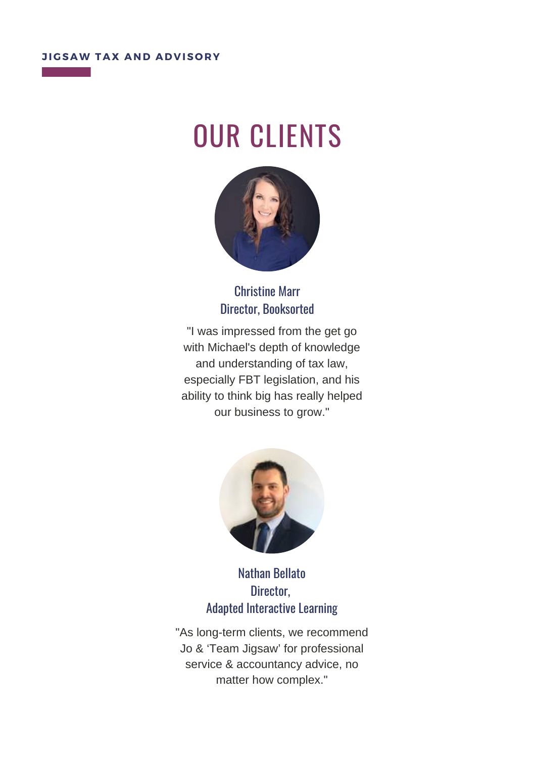## OUR CLIENTS



#### Christine Marr Director, Booksorted

"I was impressed from the get go with Michael's depth of knowledge and understanding of tax law, especially FBT legislation, and his ability to think big has really helped our business to grow."



Nathan Bellato Director, Adapted Interactive Learning

"As long-term clients, we recommend Jo & 'Team Jigsaw' for professional service & accountancy advice, no matter how complex."